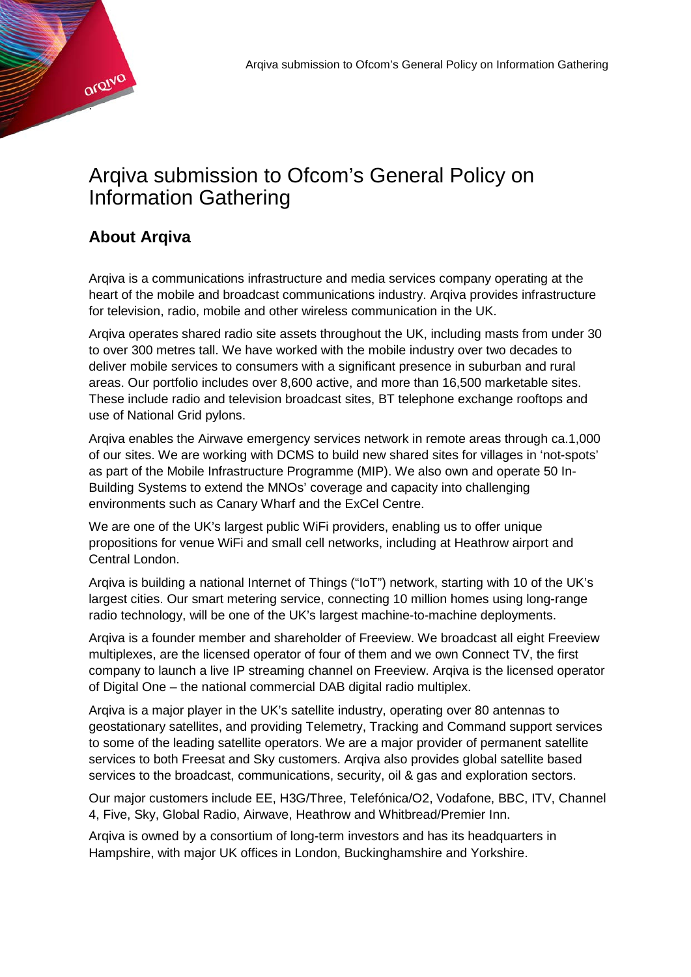

## **About Arqiva**

.

Qroivo

Arqiva is a communications infrastructure and media services company operating at the heart of the mobile and broadcast communications industry. Arqiva provides infrastructure for television, radio, mobile and other wireless communication in the UK.

Arqiva operates shared radio site assets throughout the UK, including masts from under 30 to over 300 metres tall. We have worked with the mobile industry over two decades to deliver mobile services to consumers with a significant presence in suburban and rural areas. Our portfolio includes over 8,600 active, and more than 16,500 marketable sites. These include radio and television broadcast sites, BT telephone exchange rooftops and use of National Grid pylons.

Arqiva enables the Airwave emergency services network in remote areas through ca.1,000 of our sites. We are working with DCMS to build new shared sites for villages in 'not-spots' as part of the Mobile Infrastructure Programme (MIP). We also own and operate 50 In-Building Systems to extend the MNOs' coverage and capacity into challenging environments such as Canary Wharf and the ExCel Centre.

We are one of the UK's largest public WiFi providers, enabling us to offer unique propositions for venue WiFi and small cell networks, including at Heathrow airport and Central London.

Arqiva is building a national Internet of Things ("IoT") network, starting with 10 of the UK's largest cities. Our smart metering service, connecting 10 million homes using long-range radio technology, will be one of the UK's largest machine-to-machine deployments.

Arqiva is a founder member and shareholder of Freeview. We broadcast all eight Freeview multiplexes, are the licensed operator of four of them and we own Connect TV, the first company to launch a live IP streaming channel on Freeview. Arqiva is the licensed operator of Digital One – the national commercial DAB digital radio multiplex.

Arqiva is a major player in the UK's satellite industry, operating over 80 antennas to geostationary satellites, and providing Telemetry, Tracking and Command support services to some of the leading satellite operators. We are a major provider of permanent satellite services to both Freesat and Sky customers. Arqiva also provides global satellite based services to the broadcast, communications, security, oil & gas and exploration sectors.

Our major customers include EE, H3G/Three, Telefónica/O2, Vodafone, BBC, ITV, Channel 4, Five, Sky, Global Radio, Airwave, Heathrow and Whitbread/Premier Inn.

Arqiva is owned by a consortium of long-term investors and has its headquarters in Hampshire, with major UK offices in London, Buckinghamshire and Yorkshire.